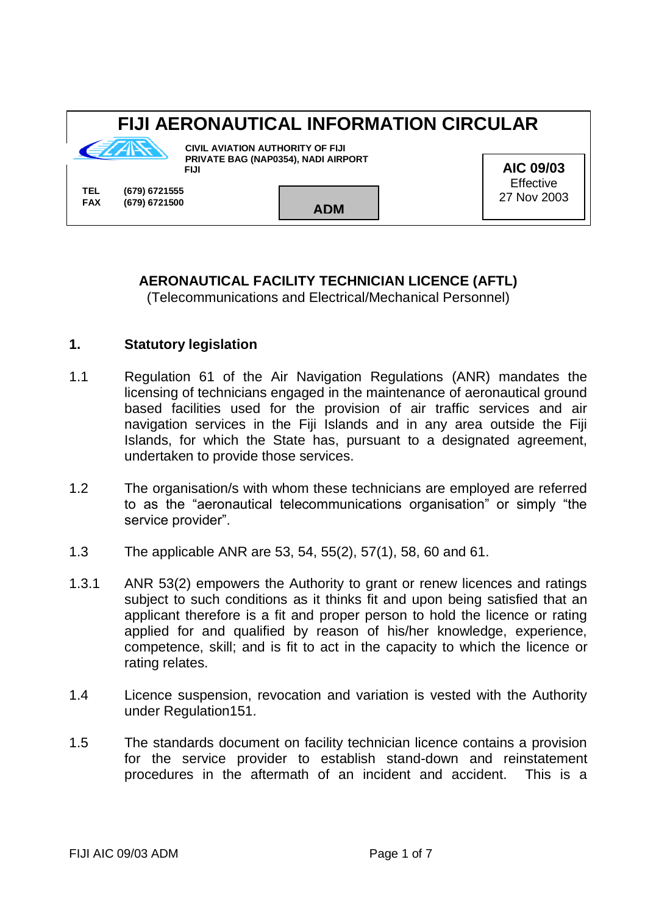# **FIJI AERONAUTICAL INFORMATION CIRCULAR**



**CIVIL AVIATION AUTHORITY OF FIJI PRIVATE BAG (NAP0354), NADI AIRPORT** *FIJI* **FIJI** 

**TEL (679) 6721555 FAX (679) 6721500 ADM**

**AIC 09/03 Effective** 27 Nov 2003

## **AERONAUTICAL FACILITY TECHNICIAN LICENCE (AFTL)**

(Telecommunications and Electrical/Mechanical Personnel)

#### **1. Statutory legislation**

- 1.1 Regulation 61 of the Air Navigation Regulations (ANR) mandates the licensing of technicians engaged in the maintenance of aeronautical ground based facilities used for the provision of air traffic services and air navigation services in the Fiji Islands and in any area outside the Fiji Islands, for which the State has, pursuant to a designated agreement, undertaken to provide those services.
- 1.2 The organisation/s with whom these technicians are employed are referred to as the "aeronautical telecommunications organisation" or simply "the service provider".
- 1.3 The applicable ANR are 53, 54, 55(2), 57(1), 58, 60 and 61.
- 1.3.1 ANR 53(2) empowers the Authority to grant or renew licences and ratings subject to such conditions as it thinks fit and upon being satisfied that an applicant therefore is a fit and proper person to hold the licence or rating applied for and qualified by reason of his/her knowledge, experience, competence, skill; and is fit to act in the capacity to which the licence or rating relates.
- 1.4 Licence suspension, revocation and variation is vested with the Authority under Regulation151.
- 1.5 The standards document on facility technician licence contains a provision for the service provider to establish stand-down and reinstatement procedures in the aftermath of an incident and accident. This is a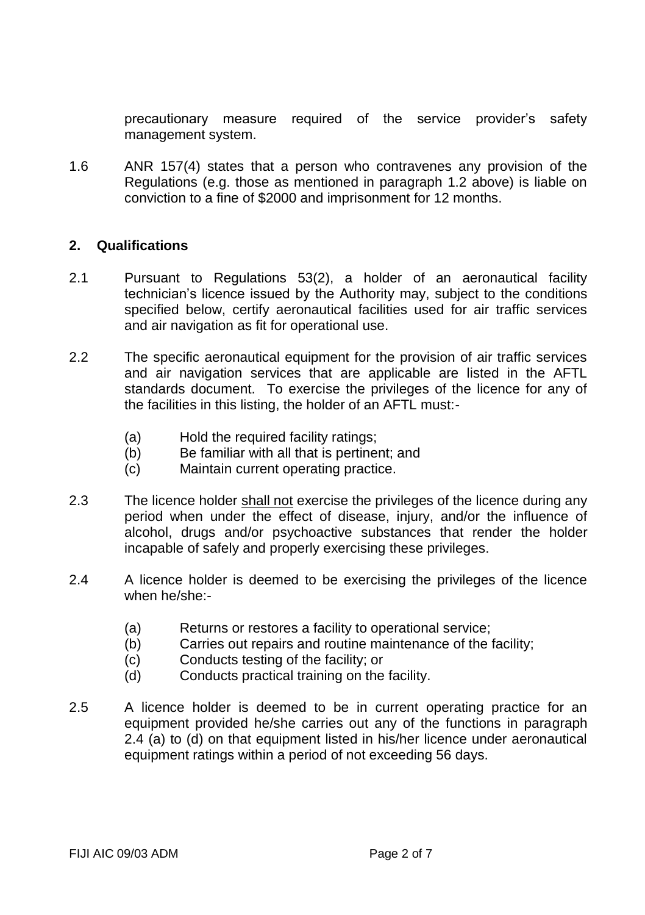precautionary measure required of the service provider's safety management system.

1.6 ANR 157(4) states that a person who contravenes any provision of the Regulations (e.g. those as mentioned in paragraph 1.2 above) is liable on conviction to a fine of \$2000 and imprisonment for 12 months.

#### **2. Qualifications**

- 2.1 Pursuant to Regulations 53(2), a holder of an aeronautical facility technician's licence issued by the Authority may, subject to the conditions specified below, certify aeronautical facilities used for air traffic services and air navigation as fit for operational use.
- 2.2 The specific aeronautical equipment for the provision of air traffic services and air navigation services that are applicable are listed in the AFTL standards document. To exercise the privileges of the licence for any of the facilities in this listing, the holder of an AFTL must:-
	- (a) Hold the required facility ratings;
	- (b) Be familiar with all that is pertinent; and
	- (c) Maintain current operating practice.
- 2.3 The licence holder shall not exercise the privileges of the licence during any period when under the effect of disease, injury, and/or the influence of alcohol, drugs and/or psychoactive substances that render the holder incapable of safely and properly exercising these privileges.
- 2.4 A licence holder is deemed to be exercising the privileges of the licence when he/she:-
	- (a) Returns or restores a facility to operational service;
	- (b) Carries out repairs and routine maintenance of the facility;
	- (c) Conducts testing of the facility; or
	- (d) Conducts practical training on the facility.
- 2.5 A licence holder is deemed to be in current operating practice for an equipment provided he/she carries out any of the functions in paragraph 2.4 (a) to (d) on that equipment listed in his/her licence under aeronautical equipment ratings within a period of not exceeding 56 days.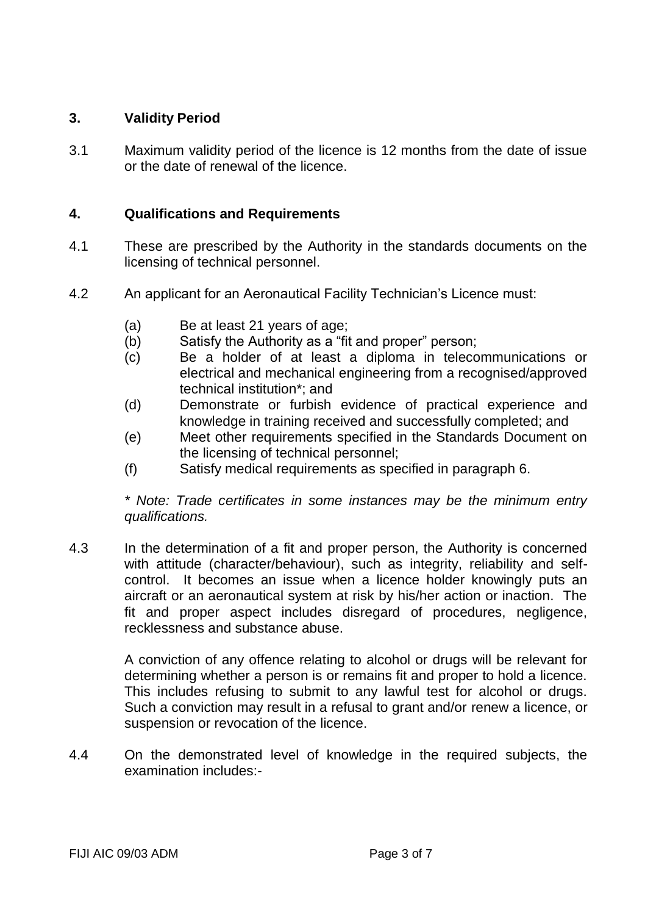#### **3. Validity Period**

3.1 Maximum validity period of the licence is 12 months from the date of issue or the date of renewal of the licence.

#### **4. Qualifications and Requirements**

- 4.1 These are prescribed by the Authority in the standards documents on the licensing of technical personnel.
- 4.2 An applicant for an Aeronautical Facility Technician's Licence must:
	- (a) Be at least 21 years of age;<br>(b) Satisfy the Authority as a "fit
	- Satisfy the Authority as a "fit and proper" person;
	- (c) Be a holder of at least a diploma in telecommunications or electrical and mechanical engineering from a recognised/approved technical institution\*; and
	- (d) Demonstrate or furbish evidence of practical experience and knowledge in training received and successfully completed; and
	- (e) Meet other requirements specified in the Standards Document on the licensing of technical personnel;
	- (f) Satisfy medical requirements as specified in paragraph 6.

*\* Note: Trade certificates in some instances may be the minimum entry qualifications.* 

4.3 In the determination of a fit and proper person, the Authority is concerned with attitude (character/behaviour), such as integrity, reliability and selfcontrol. It becomes an issue when a licence holder knowingly puts an aircraft or an aeronautical system at risk by his/her action or inaction. The fit and proper aspect includes disregard of procedures, negligence, recklessness and substance abuse.

> A conviction of any offence relating to alcohol or drugs will be relevant for determining whether a person is or remains fit and proper to hold a licence. This includes refusing to submit to any lawful test for alcohol or drugs. Such a conviction may result in a refusal to grant and/or renew a licence, or suspension or revocation of the licence.

4.4 On the demonstrated level of knowledge in the required subjects, the examination includes:-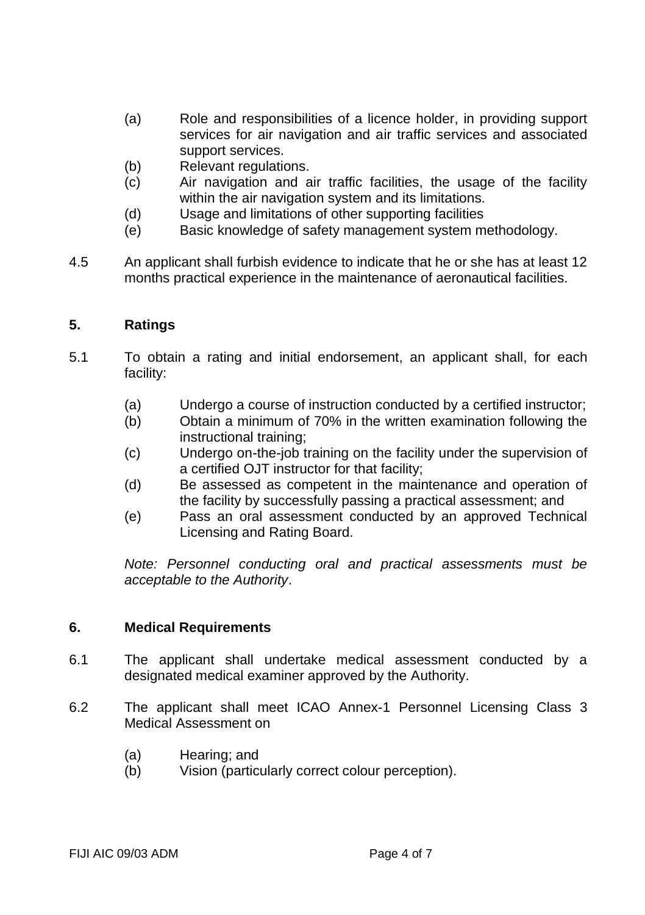- (a) Role and responsibilities of a licence holder, in providing support services for air navigation and air traffic services and associated support services.
- (b) Relevant regulations.<br>(c) Air navigation and a
- Air navigation and air traffic facilities, the usage of the facility within the air navigation system and its limitations.
- (d) Usage and limitations of other supporting facilities
- (e) Basic knowledge of safety management system methodology.
- 4.5 An applicant shall furbish evidence to indicate that he or she has at least 12 months practical experience in the maintenance of aeronautical facilities.

#### **5. Ratings**

- 5.1 To obtain a rating and initial endorsement, an applicant shall, for each facility:
	- (a) Undergo a course of instruction conducted by a certified instructor;
	- (b) Obtain a minimum of 70% in the written examination following the instructional training;
	- (c) Undergo on-the-job training on the facility under the supervision of a certified OJT instructor for that facility;
	- (d) Be assessed as competent in the maintenance and operation of the facility by successfully passing a practical assessment; and
	- (e) Pass an oral assessment conducted by an approved Technical Licensing and Rating Board.

*Note: Personnel conducting oral and practical assessments must be acceptable to the Authority*.

#### **6. Medical Requirements**

- 6.1 The applicant shall undertake medical assessment conducted by a designated medical examiner approved by the Authority.
- 6.2 The applicant shall meet ICAO Annex-1 Personnel Licensing Class 3 Medical Assessment on
	- (a) Hearing; and
	- (b) Vision (particularly correct colour perception).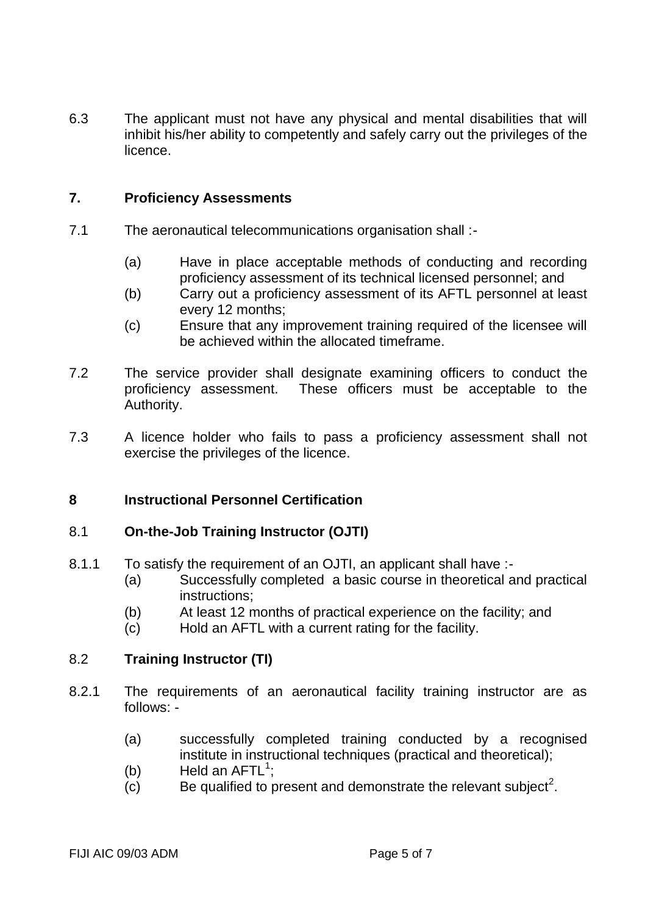6.3 The applicant must not have any physical and mental disabilities that will inhibit his/her ability to competently and safely carry out the privileges of the licence.

#### **7. Proficiency Assessments**

- 7.1 The aeronautical telecommunications organisation shall :-
	- (a) Have in place acceptable methods of conducting and recording proficiency assessment of its technical licensed personnel; and
	- (b) Carry out a proficiency assessment of its AFTL personnel at least every 12 months;
	- (c) Ensure that any improvement training required of the licensee will be achieved within the allocated timeframe.
- 7.2 The service provider shall designate examining officers to conduct the proficiency assessment. These officers must be acceptable to the Authority.
- 7.3 A licence holder who fails to pass a proficiency assessment shall not exercise the privileges of the licence.

#### **8 Instructional Personnel Certification**

#### 8.1 **On-the-Job Training Instructor (OJTI)**

- 8.1.1 To satisfy the requirement of an OJTI, an applicant shall have :-
	- (a) Successfully completed a basic course in theoretical and practical instructions;
	- (b) At least 12 months of practical experience on the facility; and
	- (c) Hold an AFTL with a current rating for the facility.

#### 8.2 **Training Instructor (TI)**

- 8.2.1 The requirements of an aeronautical facility training instructor are as follows: -
	- (a) successfully completed training conducted by a recognised institute in instructional techniques (practical and theoretical);
	- (b) Held an  $AFTL^1$ ;
	- $\overline{c}$  Be qualified to present and demonstrate the relevant subject<sup>2</sup>.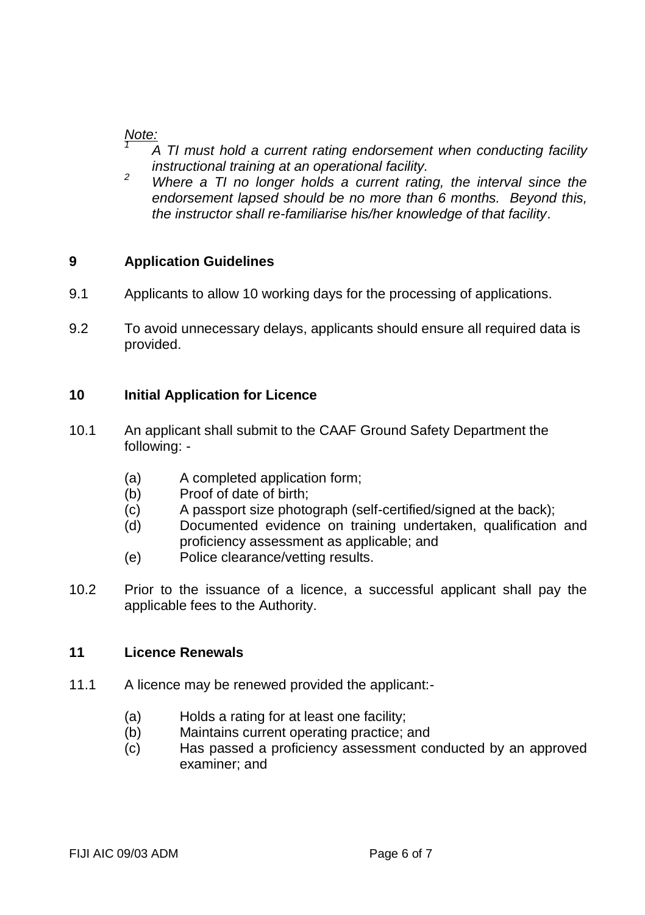#### *Note: 1*

- *A TI must hold a current rating endorsement when conducting facility instructional training at an operational facility.*
- <sup>2</sup> *Where a TI no longer holds a current rating, the interval since the endorsement lapsed should be no more than 6 months. Beyond this, the instructor shall re-familiarise his/her knowledge of that facility*.

### **9 Application Guidelines**

- 9.1 Applicants to allow 10 working days for the processing of applications.
- 9.2 To avoid unnecessary delays, applicants should ensure all required data is provided.

### **10 Initial Application for Licence**

- 10.1 An applicant shall submit to the CAAF Ground Safety Department the following: -
	- (a) A completed application form;
	- (b) Proof of date of birth;
	- (c) A passport size photograph (self-certified/signed at the back);
	- (d) Documented evidence on training undertaken, qualification and proficiency assessment as applicable; and
	- (e) Police clearance/vetting results.
- 10.2 Prior to the issuance of a licence, a successful applicant shall pay the applicable fees to the Authority.

#### **11 Licence Renewals**

- 11.1 A licence may be renewed provided the applicant:-
	- (a) Holds a rating for at least one facility;
	- (b) Maintains current operating practice; and
	- (c) Has passed a proficiency assessment conducted by an approved examiner; and